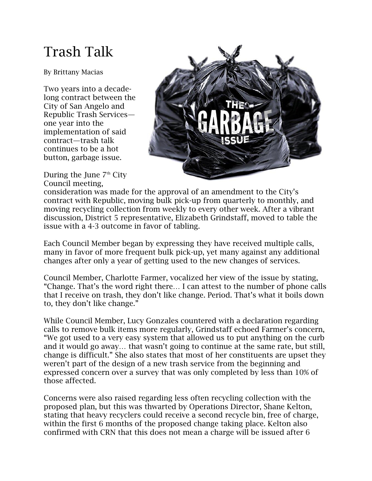## Trash Talk

By Brittany Macias

Two years into a decadelong contract between the City of San Angelo and Republic Trash Services one year into the implementation of said contract—trash talk continues to be a hot button, garbage issue.

During the June 7<sup>th</sup> City Council meeting,



consideration was made for the approval of an amendment to the City's contract with Republic, moving bulk pick-up from quarterly to monthly, and moving recycling collection from weekly to every other week. After a vibrant discussion, District 5 representative, Elizabeth Grindstaff, moved to table the issue with a 4-3 outcome in favor of tabling.

Each Council Member began by expressing they have received multiple calls, many in favor of more frequent bulk pick-up, yet many against any additional changes after only a year of getting used to the new changes of services.

Council Member, Charlotte Farmer, vocalized her view of the issue by stating, "Change. That's the word right there… I can attest to the number of phone calls that I receive on trash, they don't like change. Period. That's what it boils down to, they don't like change."

While Council Member, Lucy Gonzales countered with a declaration regarding calls to remove bulk items more regularly, Grindstaff echoed Farmer's concern, "We got used to a very easy system that allowed us to put anything on the curb and it would go away… that wasn't going to continue at the same rate, but still, change is difficult." She also states that most of her constituents are upset they weren't part of the design of a new trash service from the beginning and expressed concern over a survey that was only completed by less than 10% of those affected.

Concerns were also raised regarding less often recycling collection with the proposed plan, but this was thwarted by Operations Director, Shane Kelton, stating that heavy recyclers could receive a second recycle bin, free of charge, within the first 6 months of the proposed change taking place. Kelton also confirmed with CRN that this does not mean a charge will be issued after 6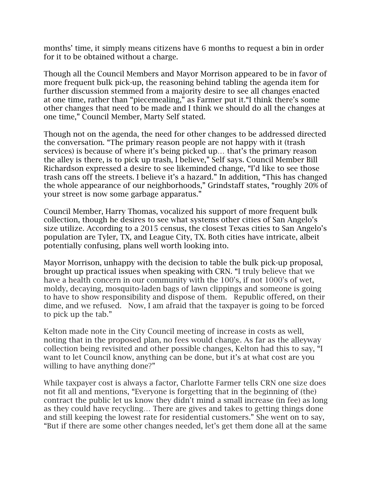months' time, it simply means citizens have 6 months to request a bin in order for it to be obtained without a charge.

Though all the Council Members and Mayor Morrison appeared to be in favor of more frequent bulk pick-up, the reasoning behind tabling the agenda item for further discussion stemmed from a majority desire to see all changes enacted at one time, rather than "piecemealing," as Farmer put it."I think there's some other changes that need to be made and I think we should do all the changes at one time," Council Member, Marty Self stated.

Though not on the agenda, the need for other changes to be addressed directed the conversation. "The primary reason people are not happy with it (trash services) is because of where it's being picked up… that's the primary reason the alley is there, is to pick up trash, I believe," Self says. Council Member Bill Richardson expressed a desire to see likeminded change, "I'd like to see those trash cans off the streets. I believe it's a hazard." In addition, "This has changed the whole appearance of our neighborhoods," Grindstaff states, "roughly 20% of your street is now some garbage apparatus."

Council Member, Harry Thomas, vocalized his support of more frequent bulk collection, though he desires to see what systems other cities of San Angelo's size utilize. According to a 2015 census, the closest Texas cities to San Angelo's population are Tyler, TX, and League City, TX. Both cities have intricate, albeit potentially confusing, plans well worth looking into.

Mayor Morrison, unhappy with the decision to table the bulk pick-up proposal, brought up practical issues when speaking with CRN. "I truly believe that we have a health concern in our community with the 100's, if not 1000's of wet, moldy, decaying, mosquito-laden bags of lawn clippings and someone is going to have to show responsibility and dispose of them. Republic offered, on their dime, and we refused. Now, I am afraid that the taxpayer is going to be forced to pick up the tab."

Kelton made note in the City Council meeting of increase in costs as well, noting that in the proposed plan, no fees would change. As far as the alleyway collection being revisited and other possible changes, Kelton had this to say, "I want to let Council know, anything can be done, but it's at what cost are you willing to have anything done?"

While taxpayer cost is always a factor, Charlotte Farmer tells CRN one size does not fit all and mentions, "Everyone is forgetting that in the beginning of (the) contract the public let us know they didn't mind a small increase (in fee) as long as they could have recycling… There are gives and takes to getting things done and still keeping the lowest rate for residential customers." She went on to say, "But if there are some other changes needed, let's get them done all at the same